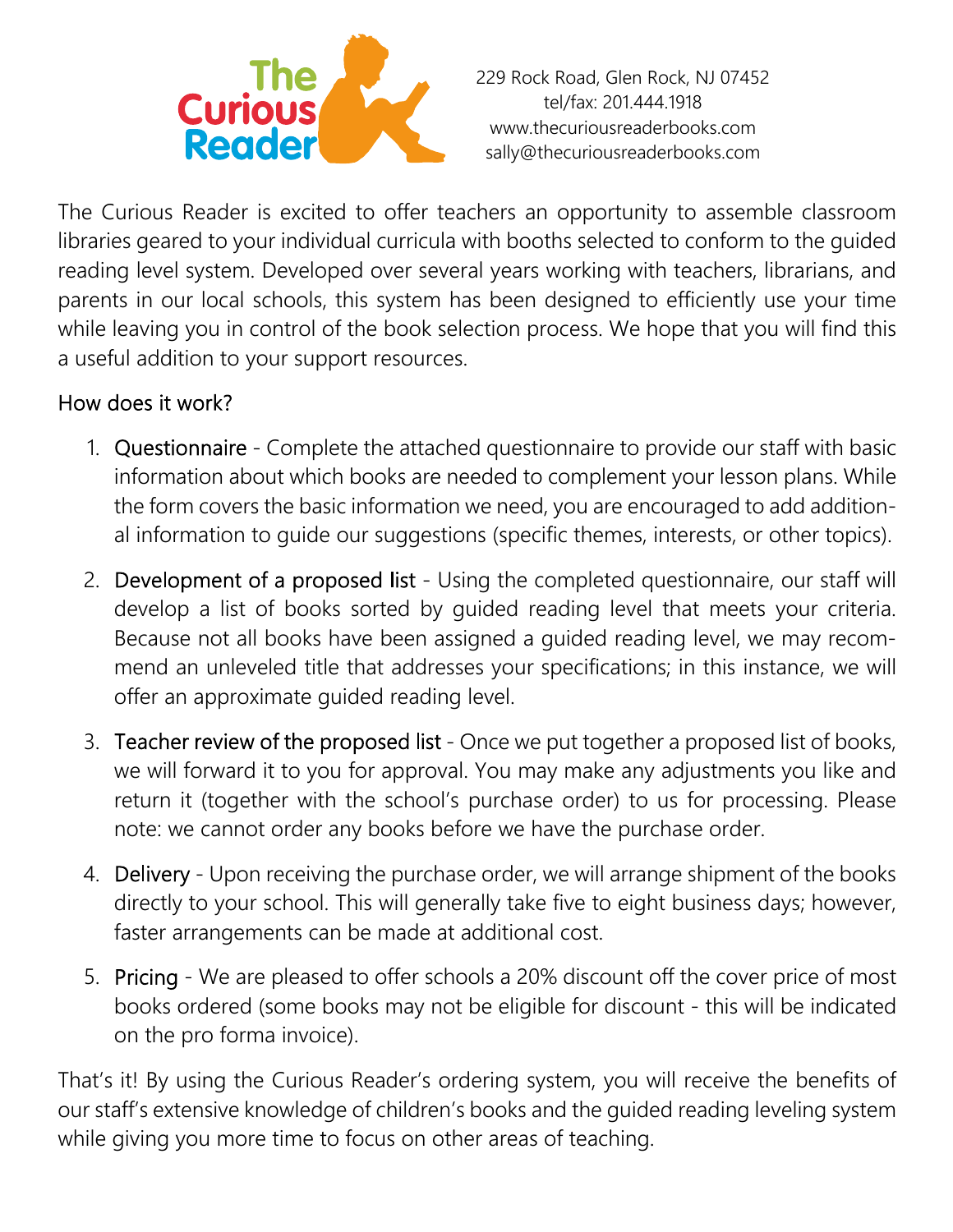

229 Rock Road, Glen Rock, NJ 07452 tel/fax: 201.444.1918 www.thecuriousreaderbooks.com sally@thecuriousreaderbooks.com

The Curious Reader is excited to offer teachers an opportunity to assemble classroom libraries geared to your individual curricula with booths selected to conform to the guided reading level system. Developed over several years working with teachers, librarians, and parents in our local schools, this system has been designed to efficiently use your time while leaving you in control of the book selection process. We hope that you will find this a useful addition to your support resources.

## How does it work?

- 1. Questionnaire Complete the attached questionnaire to provide our staff with basic information about which books are needed to complement your lesson plans. While the form covers the basic information we need, you are encouraged to add additional information to guide our suggestions (specific themes, interests, or other topics).
- 2. Development of a proposed list Using the completed questionnaire, our staff will develop a list of books sorted by guided reading level that meets your criteria. Because not all books have been assigned a guided reading level, we may recommend an unleveled title that addresses your specifications; in this instance, we will offer an approximate guided reading level.
- 3. Teacher review of the proposed list Once we put together a proposed list of books, we will forward it to you for approval. You may make any adjustments you like and return it (together with the school's purchase order) to us for processing. Please note: we cannot order any books before we have the purchase order.
- 4. Delivery Upon receiving the purchase order, we will arrange shipment of the books directly to your school. This will generally take five to eight business days; however, faster arrangements can be made at additional cost.
- 5. Pricing We are pleased to offer schools a 20% discount off the cover price of most books ordered (some books may not be eligible for discount - this will be indicated on the pro forma invoice).

That's it! By using the Curious Reader's ordering system, you will receive the benefits of our staff's extensive knowledge of children's books and the guided reading leveling system while giving you more time to focus on other areas of teaching.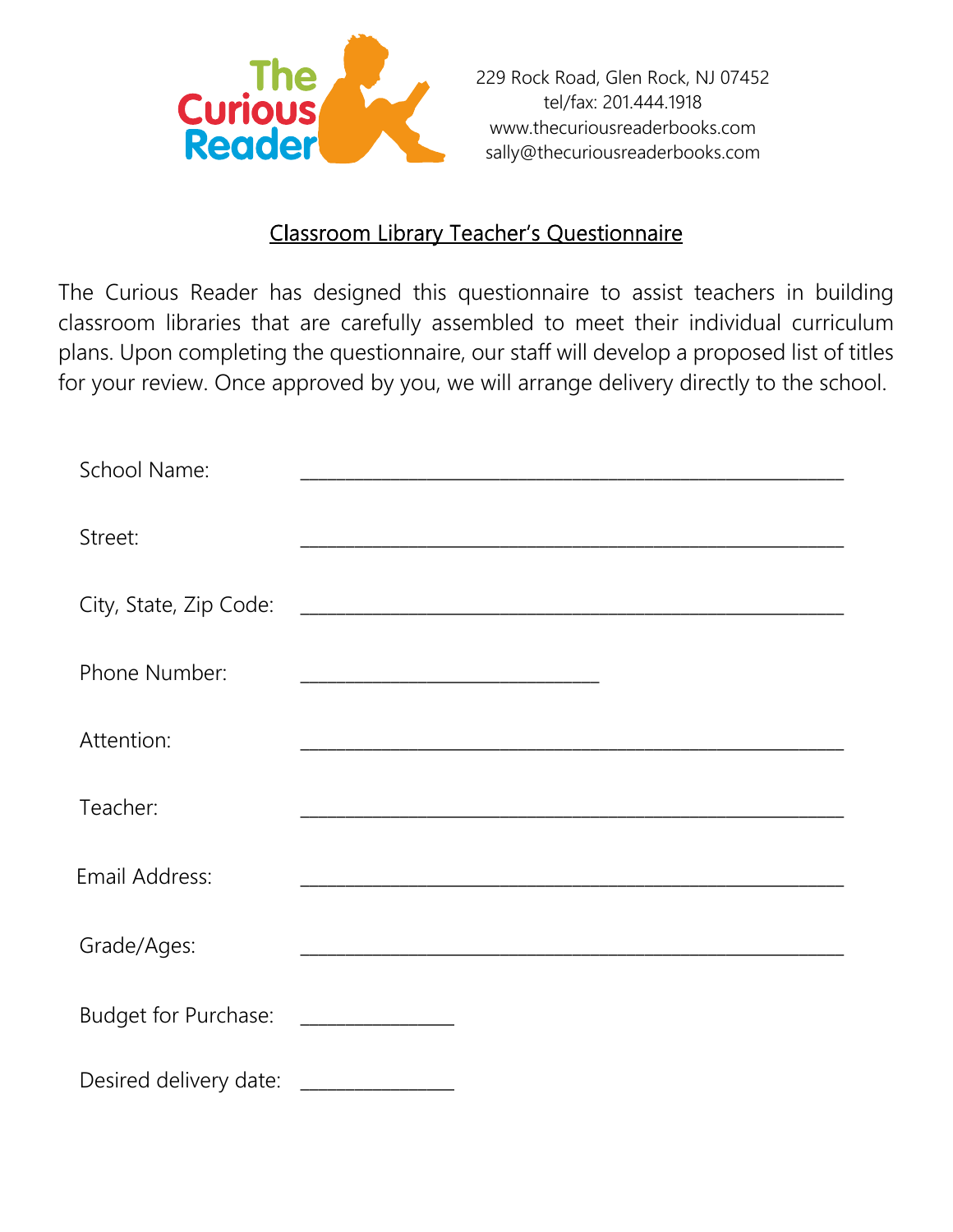

## Classroom Library Teacher's Questionnaire

The Curious Reader has designed this questionnaire to assist teachers in building classroom libraries that are carefully assembled to meet their individual curriculum plans. Upon completing the questionnaire, our staff will develop a proposed list of titles for your review. Once approved by you, we will arrange delivery directly to the school.

| School Name:           |  |  |
|------------------------|--|--|
| Street:                |  |  |
| City, State, Zip Code: |  |  |
| Phone Number:          |  |  |
| Attention:             |  |  |
| Teacher:               |  |  |
| Email Address:         |  |  |
| Grade/Ages:            |  |  |
| Budget for Purchase:   |  |  |
| Desired delivery date: |  |  |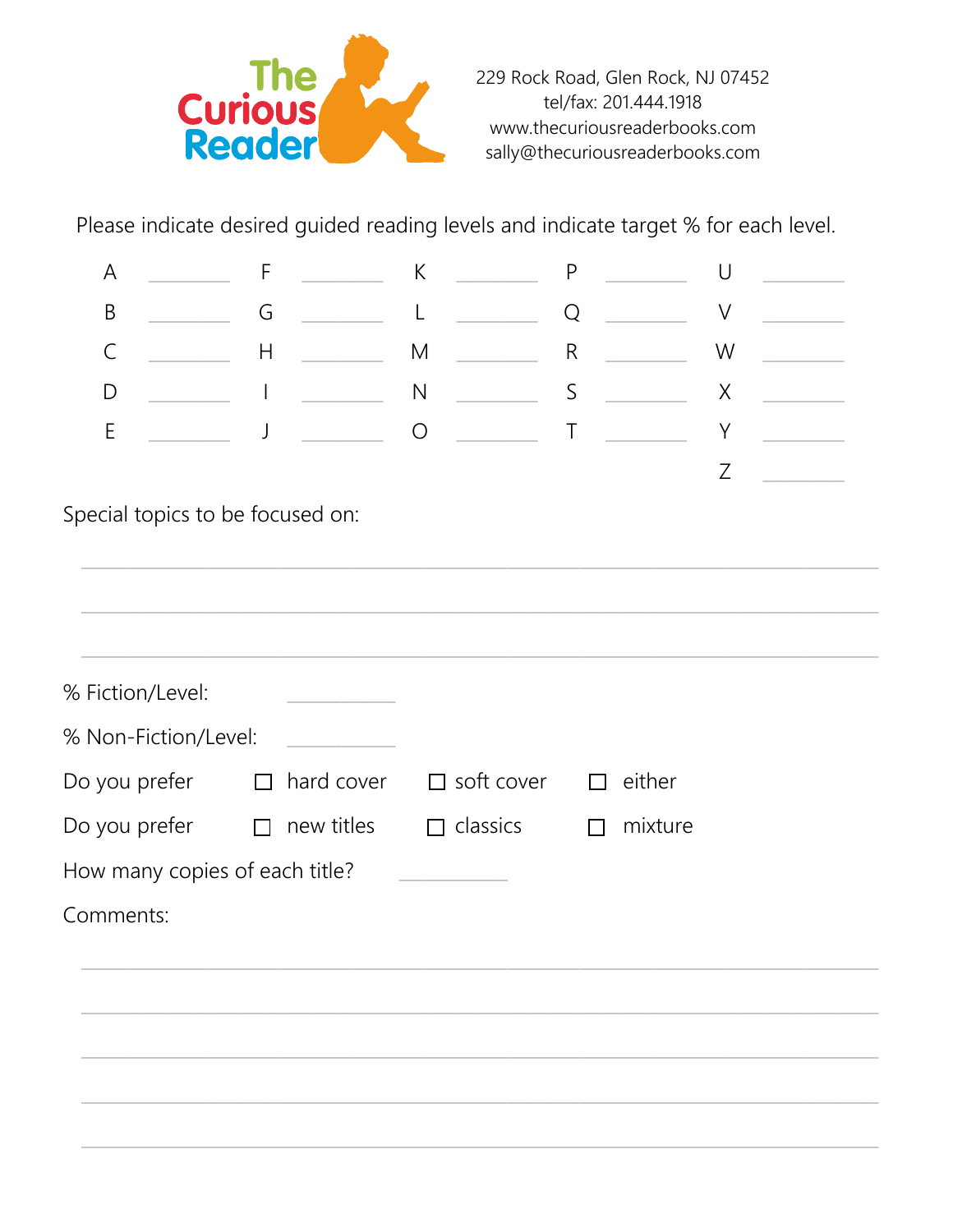

Please indicate desired guided reading levels and indicate target % for each level.

| A                              | F                                |            | $\sf K$           | $\mathsf{P}$   | U      |  |  |
|--------------------------------|----------------------------------|------------|-------------------|----------------|--------|--|--|
| $\mathsf B$                    | G                                |            | L                 | $\overline{Q}$ | $\vee$ |  |  |
| $\mathsf{C}$                   | Н                                |            | ${\sf M}$         | $\mathsf R$    | W      |  |  |
| D                              |                                  |            | ${\sf N}$         | $\mathsf S$    | X      |  |  |
| $\mathsf E$                    | J                                |            | $\bigcirc$        | $\mathsf T$    | Y      |  |  |
|                                |                                  |            |                   |                | Z      |  |  |
|                                | Special topics to be focused on: |            |                   |                |        |  |  |
|                                |                                  |            |                   |                |        |  |  |
| % Fiction/Level:               |                                  |            |                   |                |        |  |  |
|                                | % Non-Fiction/Level:             |            |                   |                |        |  |  |
| Do you prefer                  | $\Box$                           | hard cover | $\Box$ soft cover | either         |        |  |  |
| Do you prefer                  | $\Box$                           | new titles | $\Box$ classics   | mixture        |        |  |  |
| How many copies of each title? |                                  |            |                   |                |        |  |  |
| Comments:                      |                                  |            |                   |                |        |  |  |
|                                |                                  |            |                   |                |        |  |  |
|                                |                                  |            |                   |                |        |  |  |
|                                |                                  |            |                   |                |        |  |  |